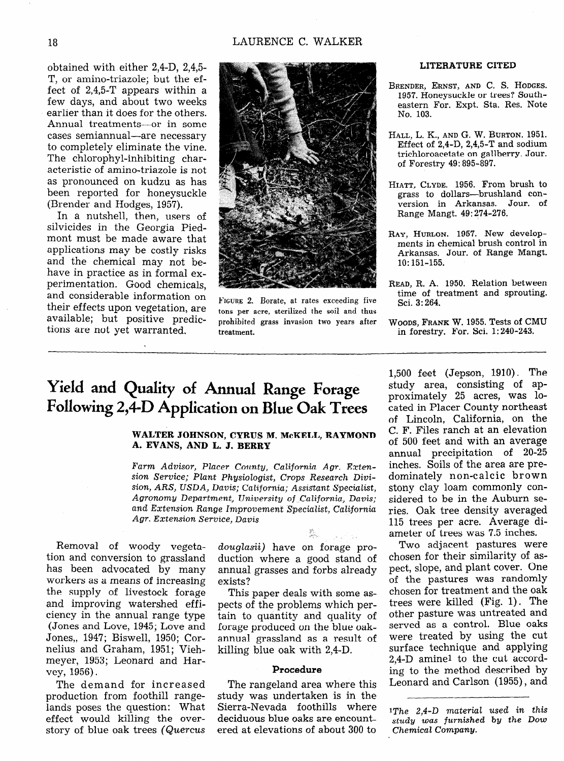# **Yield and Quality of Annual Range Forage**  Following 2,4-D Application on Blue Oak Trees

### WALTER JOHNSON, CYRUS M. McKELL, RAYMOND **A. EVANS, AND L. J. BERRY**

*Farm Advisor, Placer County, California Agr. Extension Service; Plant Physiologist, Crops Research Divi*sion, *ARS, USDA, Davis;* California; *Assitiant* Specialist, *Agronomy Department, University of California, Davis; and* Extension Range *Improvement Specialist,* CaZifornia *Agr. Extension Service, Davis* 

Removal of woody vegetation and conversion to grassland has been advocated by many workers as a means of increasing the supply of livestock forage and improving watershed efficiency in the annual range type (Jones and Love, 1945; Love and Jones,, 1947; Biswell, 1950; Cornelius and Graham, 1951; Viehmeyer, 1953; Leonard and Harvey, 1956).

The demand for increased production from foothill rangelands poses the question: What effect would killing the overstory of blue oak trees (Quercus douglasii) have on forage production where a good stand of annual grasses and forbs already exists?

This paper deals with some aspects of the problems which pertain to quantity and quality of forage produced on the blue oakannual grassland as a result of killing blue oak with 2,4-D.

#### Procedure

The rangeland area where this study was undertaken is in the Sierra-Nevada foothills where deciduous blue oaks are encountered at elevations of about 300 to

1,500 feet (Jepson, 1910). The study area, consisting of approximately 25 acres, was located in Placer County northeast of Lincoln, California, on the C. F. Files ranch at an elevation of 500 feet and with an average annual precipitation of 20-25 inches. Soils of the area are predominately non-calcic brown stony clay loam commonly considered to be in the Auburn series. Oak tree density averaged 115 trees per acre. Average diameter of trees was 7.5 inches.

Two adjacent pastures were chosen for their similarity of aspect, slope, and plant cover. One of the pastures was randomly chosen for treatment and the oak trees were killed (Fig. 1). The other pasture was untreated and served as a control. Blue oaks were treated by using the cut surface technique and applying 2,4-D amine1 to the cut according to the method described by Leonard and Carlson (1955), and

1The 2,4-D *material used in this study was furnished* by *the Dow Chemicat Company.*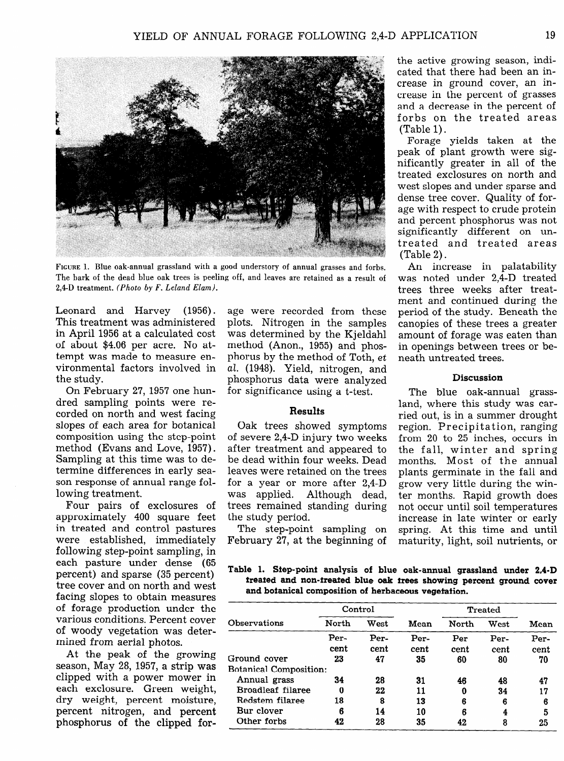

**FIGURE** 1. Blue oak-annual grassland with a good understory of annual grasses and forbs. The bark of the dead blue oak trees is peeling off, and leaves are retained as a result of 2,4-D treatment. *(Photo by F. Leland Elan).* 

Leonard and Harvey (1956). This treatment was administered in April 1956 at a calculated cost of about \$4.06 per acre. No attempt was made to measure environmental factors involved in the study.

On February 27, 1957 one hundred sampling points were recorded on north and west facing slopes of each area for botanical composition using the step-point method (Evans and Love, 1957). Sampling at this time was to determine differences in early season response of annual range following treatment.

Four pairs of exclosures of approximately 400 square feet in treated and control pastures were established, immediately following step-point sampling, in each pasture under dense (65 percent) and sparse (35 percent) tree cover and on north and west facing slopes to obtain measures of forage production under the various conditions. Percent cover of woody vegetation was determined from aerial photos.

At the peak of the growing season, May 28, 1957, a strip was clipped with a power mower in each exclosure. Green weight, dry weight, percent moisture, percent nitrogen, and percent phosphorus of the clipped for-

age were recorded from these plots. Nitrogen in the samples was determined by the Kjeldahl method (Anon., 1955) and phosphorus by the method of Toth, et al. (1948). Yield, nitrogen, and phosphorus data were analyzed for significance using a t-test.

## **Results**

Oak trees showed symptoms of severe 2,4-D injury two weeks after treatment and appeared to be dead within four weeks. Dead leaves were retained on the trees for a year or more after 2,4-D was applied. Although dead, trees remained standing during the study period.

The step-point sampling on February 27, at the beginning of the active growing season, indicated that there had been an increase in ground cover, an increase in the percent of grasses and a decrease in the percent of forbs on the treated areas (Table 1).

Forage yields taken at the peak of plant growth were significantly greater in all of the treated exclosures on north and west slopes and under sparse and dense tree cover. Quality of forage with respect to crude protein and percent phosphorus was not significantly different on untreated and treated areas (Table 2) .

An increase in palatability was noted under 2,4-D treated trees three weeks after treatment and continued during the period of the study. Beneath the canopies of these trees a greater amount of forage was eaten than in openings between trees or beneath untreated trees.

#### **Discussion**

The blue oak-annual grassland, where this study was carried out, is in a summer drought region. Precipitation, ranging from 20 to 25 inches, occurs in the fall, winter and spring months. Most of the annual plants germinate in the fall and grow very little during the winter months. Rapid growth does not occur until soil temperatures increase in late winter or early spring. At this time and until maturity, light, soil nutrients, or

Table 1. Sfep-poinf analysis of blue oak-annual grassland under 2,4-D freafed and non-freafed blue oak frees showing percent ground cover and boianical composifion of herbaceous vegefafion.

|                               | Control |      |      | <b>Treated</b> |      |      |
|-------------------------------|---------|------|------|----------------|------|------|
| Observations                  | North   | West | Mean | North          | West | Mean |
|                               | Per-    | Per- | Per- | Per            | Per- | Per- |
|                               | cent    | cent | cent | cent           | cent | cent |
| Ground cover                  | 23      | 47   | 35   | 60             | 80   | 70   |
| <b>Botanical Composition:</b> |         |      |      |                |      |      |
| Annual grass                  | 34      | 28   | 31   | 46             | 48   | 47   |
| Broadleaf filaree             | 0       | 22   | 11   | 0              | 34   | 17   |
| Redstem filaree               | 18      | 8    | 13   | 6              | 6    | 6    |
| Bur clover                    | 6       | 14   | 10   | 6              | 4    | 5    |
| Other forbs                   | 42      | 28   | 35   | 42             | 8    | 25   |